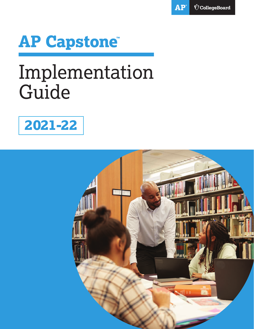



# Implementation Guide



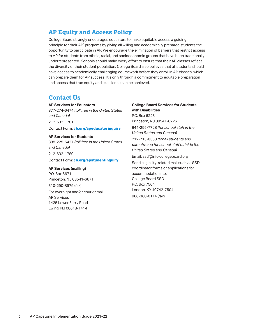### **AP Equity and Access Policy**

College Board strongly encourages educators to make equitable access a guiding principle for their AP® programs by giving all willing and academically prepared students the opportunity to participate in AP. We encourage the elimination of barriers that restrict access to AP for students from ethnic, racial, and socioeconomic groups that have been traditionally underrepresented. Schools should make every effort to ensure that their AP classes reflect the diversity of their student population. College Board also believes that all students should have access to academically challenging coursework before they enroll in AP classes, which can prepare them for AP success. It's only through a commitment to equitable preparation and access that true equity and excellence can be achieved.

### **Contact Us**

### **AP Services for Educators**

877-274-6474 *(toll free in the United States and Canada)* 212-632-1781 Contact Form: **[cb.org/apeducatorinquiry](http://cb.org/apeducatorinquiry)** 

#### **AP Services for Students**

888-225-5427 *(toll free in the United States and Canada)* 212-632-1780

Contact Form: **[cb.org/apstudentinquiry](http://cb.org/apstudentinquiry)** 

#### **AP Services (mailing)**

P.O. Box 6671 Princeton, NJ 08541-6671 610-290-8979 (fax) For overnight and/or courier mail: AP Services 1425 Lower Ferry Road Ewing, NJ 08618-1414

**College Board Services for Students with Disabilities** P.O. Box 6226 Princeton, NJ 08541-6226 844-255-7728 *(for school staff in the United States and Canada)*  212-713-8333 *(for all students and parents; and for school staff outside the United States and Canada)* Email: [ssd@info.collegeboard.org](mailto:ssd@info.collegeboard.org)  Send eligibility-related mail such as SSD coordinator forms or applications for accommodations to: College Board SSD P.O. Box 7504

London, KY 40742-7504 866-360-0114 (fax)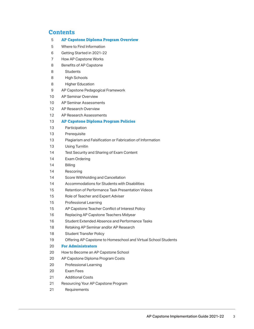### **Contents**

| 5  | <b>AP Capstone Diploma Program Overview</b>                    |
|----|----------------------------------------------------------------|
| 5  | Where to Find Information                                      |
| 6  | Getting Started in 2021-22                                     |
| 7  | <b>How AP Capstone Works</b>                                   |
| 8  | Benefits of AP Capstone                                        |
| 8  | <b>Students</b>                                                |
| 8  | <b>High Schools</b>                                            |
| 8  | <b>Higher Education</b>                                        |
| 9  | AP Capstone Pedagogical Framework                              |
| 10 | <b>AP Seminar Overview</b>                                     |
| 10 | AP Seminar Assessments                                         |
| 12 | AP Research Overview                                           |
| 12 | AP Research Assessments                                        |
| 13 | <b>AP Capstone Diploma Program Policies</b>                    |
| 13 | Participation                                                  |
| 13 | Prerequisite                                                   |
| 13 | Plagiarism and Falsification or Fabrication of Information     |
| 13 | <b>Using Turnitin</b>                                          |
| 14 | Test Security and Sharing of Exam Content                      |
| 14 | Exam Ordering                                                  |
| 14 | <b>Billing</b>                                                 |
| 14 | Rescoring                                                      |
| 14 | Score Withholding and Cancellation                             |
| 14 | Accommodations for Students with Disabilities                  |
| 15 | Retention of Performance Task Presentation Videos              |
| 15 | Role of Teacher and Expert Adviser                             |
| 15 | Professional Learning                                          |
| 15 | AP Capstone Teacher Conflict of Interest Policy                |
| 16 | Replacing AP Capstone Teachers Midyear                         |
| 16 | Student Extended Absence and Performance Tasks                 |
| 18 | Retaking AP Seminar and/or AP Research                         |
| 18 | <b>Student Transfer Policy</b>                                 |
| 19 | Offering AP Capstone to Homeschool and Virtual School Students |
| 20 | <b>For Administrators</b>                                      |
| 20 | How to Become an AP Capstone School                            |
| 20 | AP Capstone Diploma Program Costs                              |
| 20 | Professional Learning                                          |
| 20 | Exam Fees                                                      |
| 21 | <b>Additional Costs</b>                                        |
| 21 | Resourcing Your AP Capstone Program                            |
| 21 | Requirements                                                   |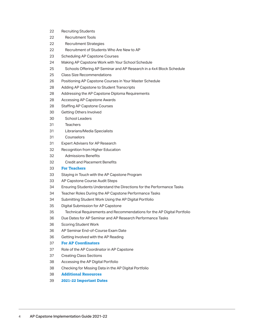| 22 | <b>Recruiting Students</b>                                              |
|----|-------------------------------------------------------------------------|
| 22 | <b>Recruitment Tools</b>                                                |
| 22 | <b>Recruitment Strategies</b>                                           |
| 22 | Recruitment of Students Who Are New to AP                               |
| 23 | <b>Scheduling AP Capstone Courses</b>                                   |
| 24 | Making AP Capstone Work with Your School Schedule                       |
| 25 | Schools Offering AP Seminar and AP Research in a 4x4 Block Schedule     |
| 25 | Class Size Recommendations                                              |
| 26 | Positioning AP Capstone Courses in Your Master Schedule                 |
| 28 | Adding AP Capstone to Student Transcripts                               |
| 28 | Addressing the AP Capstone Diploma Requirements                         |
| 28 | Accessing AP Capstone Awards                                            |
| 28 | <b>Staffing AP Capstone Courses</b>                                     |
| 30 | Getting Others Involved                                                 |
| 30 | <b>School Leaders</b>                                                   |
| 31 | <b>Teachers</b>                                                         |
| 31 | Librarians/Media Specialists                                            |
| 31 | Counselors                                                              |
| 31 | <b>Expert Advisers for AP Research</b>                                  |
| 32 | Recognition from Higher Education                                       |
| 32 | <b>Admissions Benefits</b>                                              |
| 32 | Credit and Placement Benefits                                           |
| 33 | <b>For Teachers</b>                                                     |
| 33 | Staying in Touch with the AP Capstone Program                           |
| 33 | AP Capstone Course Audit Steps                                          |
| 34 | Ensuring Students Understand the Directions for the Performance Tasks   |
| 34 | Teacher Roles During the AP Capstone Performance Tasks                  |
| 34 | Submitting Student Work Using the AP Digital Portfolio                  |
| 35 | Digital Submission for AP Capstone                                      |
| 35 | Technical Requirements and Recommendations for the AP Digital Portfolio |
| 36 | Due Dates for AP Seminar and AP Research Performance Tasks              |
| 36 | <b>Scoring Student Work</b>                                             |
| 36 | AP Seminar End-of-Course Exam Date                                      |
| 36 | Getting Involved with the AP Reading                                    |
| 37 | <b>For AP Coordinators</b>                                              |
| 37 | Role of the AP Coordinator in AP Capstone                               |
| 37 | <b>Creating Class Sections</b>                                          |
| 38 | Accessing the AP Digital Portfolio                                      |
| 38 | Checking for Missing Data in the AP Digital Portfolio                   |
| 38 | <b>Additional Resources</b>                                             |
|    |                                                                         |

39 39 **2021-22 Important Dates**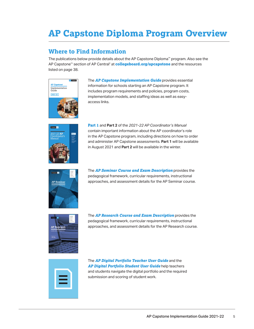# <span id="page-4-0"></span>**AP Capstone Diploma Program Overview**

### **Where to Find Information**

 The publications below provide details about the AP Capstone Diploma™ program. Also see the AP Capstone™ section of AP Central® at **[collegeboard.org/apcapstone](http://collegeboard.org/apcapstone)** and the resources listed on page 38.



The *[AP Capstone Implementation Guide](https://secure-media.collegeboard.org/digitalServices/pdf/ap/ap-capstone-implementation-guide.pdf)* provides essential information for schools starting an AP Capstone program. It includes program requirements and policies, program costs, implementation models, and staffing ideas as well as easyaccess links.



 and administer AP Capstone assessments. **Part 1** will be available **[Part 1](http://collegeboard.org/apcoordinatorsmanual-part1)** and **Part 2** of the *2021-22 AP Coordinator's Manual*  contain important information about the AP coordinator's role in the AP Capstone program, including directions on how to order in August 2021 and **Part 2** will be available in the winter.



The *[AP Seminar Course and Exam Description](https://apcentral.collegeboard.org/pdf/ap-seminar-course-and-exam-description.pdf)* provides the pedagogical framework, curricular requirements, instructional approaches, and assessment details for the AP Seminar course.



The *[AP Research Course and Exam Description](https://apcentral.collegeboard.org/pdf/ap-research-course-and-exam-description.pdf)* provides the pedagogical framework, curricular requirements, instructional approaches, and assessment details for the AP Research course.



The *[AP Digital Portfolio Teacher User Guide](http://media.collegeboard.com/digitalServices/pdf/ap/ap-capstone/ap-capstone-digital-portfolio-teacher-user-guide.pdf)* and the *[AP Digital Portfolio Student User Guide](http://media.collegeboard.com/digitalServices/pdf/ap/ap-capstone/ap-capstone-digital-portfolio-student-user-guide.pdf)* help teachers and students navigate the digital portfolio and the required submission and scoring of student work.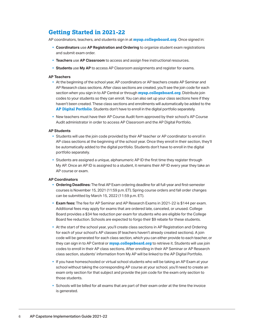### <span id="page-5-0"></span>**Getting Started in 2021-22**

AP coordinators, teachers, and students sign in at **[myap.collegeboard.org](http://myap.collegeboard.org)**. Once signed in:

- § **Coordinators** use **AP Registration and Ordering** to organize student exam registrations and submit exam order.
- § **Teachers** use **AP Classroom** to access and assign free instructional resources.
- **Students** use My AP to access AP Classroom assignments and register for exams.

#### **AP Teachers**

- haven't been created. These class sections and enrollments will automatically be added to the § At the beginning of the school year, AP coordinators or AP teachers create AP Seminar and AP Research class sections. After class sections are created, you'll see the join code for each section when you sign in to AP Central or through **[myap.collegeboard.org](http://myap.collegeboard.org)**. Distribute join codes to your students so they can enroll. You can also set up your class sections here if they **[AP Digital Portfolio](http://digitalportfolio.collegeboard.org)**. Students don't have to enroll in the digital portfolio separately.
- § New teachers must have their AP Course Audit form approved by their school's AP Course Audit administrator in order to access AP Classroom and the AP Digital Portfolio.

#### **AP Students**

- Students will use the join code provided by their AP teacher or AP coordinator to enroll in AP class sections at the beginning of the school year. Once they enroll in their section, they'll be automatically added to the digital portfolio. Students don't have to enroll in the digital portfolio separately.
- My AP. Once an AP ID is assigned to a student, it remains their AP ID every year they take an **• Students are assigned a unique, alphanumeric AP ID the first time they register through** AP course or exam.

#### **AP Coordinators**

- § **Ordering Deadlines:** The final AP Exam ordering deadline for all full-year and first-semester courses is November 15, 2021 (11:59 p.m. ET). Spring course orders and fall order changes can be submitted by March 15, 2022 (11:59 p.m.  $\pm$  F).
- § **Exam fees:** The fee for AP Seminar and AP Research Exams in 2021-22 is \$144 per exam. Board provides a \$34 fee reduction per exam for students who are eligible for the College Board fee reduction. Schools are expected to forgo their \$9 rebate for these students. Additional fees may apply for exams that are ordered late, canceled, or unused. College
- code will be generated for each class section, which you can either provide to each teacher, or class section, students' information from My AP will be linked to the AP Digital Portfolio. • At the start of the school year, you'll create class sections in AP Registration and Ordering for each of your school's AP classes (if teachers haven't already created sections). A join they can sign in to AP Central or **[myap.collegeboard.org](http://myap.collegeboard.org)** to retrieve it. Students will use join codes to enroll in their AP class sections. After enrolling in their AP Seminar or AP Research
- § If you have homeschooled or virtual school students who will be taking an AP Exam at your school without taking the corresponding AP course at your school, you'll need to create an exam only section for that subject and provide the join code for the exam only section to those students.
- § Schools will be billed for all exams that are part of their exam order at the time the invoice is generated.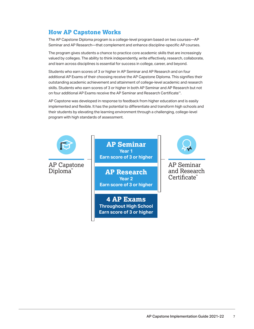### <span id="page-6-0"></span>**How AP Capstone Works**

 The AP Capstone Diploma program is a college-level program based on two courses—AP Seminar and AP Research—that complement and enhance discipline-specific APcourses.

 The program gives students a chance to practice core academic skills that are increasingly valued by colleges. The ability to think independently, write effectively, research, collaborate, and learn across disciplines is essential for success in college, career, and beyond.

Students who earn scores of 3 or higher in AP Seminar and AP Research and on four additional AP Exams of their choosing receive the AP Capstone Diploma. This signifies their outstanding academic achievement and attainment of college-level academic and research skills. Students who earn scores of 3 or higher in both AP Seminar and AP Research but not on four additional AP Exams receive the AP Seminar and Research Certificate™.

AP Capstone was developed in response to feedback from higher education and is easily implemented and flexible. It has the potential to differentiate and transform high schools and their students by elevating the learning environment through a challenging, college-level program with high standards of assessment.



**AP Seminar Year 1 Earn score of 3 or higher** 

**AP Research Year 2 Earn score of 3 or higher** 

**4 AP Exams Throughout High School Earn score of 3 or higher** 



AP Seminar and Research Certificate **™**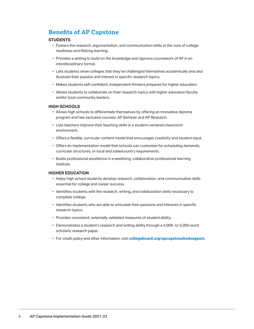### <span id="page-7-0"></span>**Benefits of AP Capstone**

#### **STUDENTS**

- § Fosters the research, argumentation, and communication skills at the core of college readiness and lifelong learning.
- § Provides a setting to build on the knowledge and rigorous coursework of AP in an interdisciplinary format.
- § Lets students show colleges that they've challenged themselves academically and also illustrate their passion and interest in specific research topics.
- § Makes students self-confident, independent thinkers prepared for higher education.
- § Allows students to collaborate on their research topics with higher education faculty and/or local community leaders.

#### **HIGH SCHOOLS**

- **Allows high schools to differentiate themselves by offering an innovative diploma** program and two exclusive courses: AP Seminar and AP Research.
- Lets teachers improve their teaching skills in a student-centered classroom environment.
- § Offers a flexible, curricular content model that encourages creativity and student input.
- § Offers an implementation model that schools can customize for scheduling demands, curricular structures, or local and state/country requirements.
- § Builds professional excellence in a weeklong, collaborative professional learning institute.

#### **HIGHER EDUCATION**

- § Helps high school students develop research, collaboration, and communication skills essential for college and career success.
- § Identifies students with the research, writing, and collaboration skills necessary to complete college.
- § Identifies students who are able to articulate their passions and interests in specific research topics.
- § Provides consistent, externally validated measures of student ability.
- § Demonstrates a student's research and writing ability through a 4,000- to 5,000-word scholarly research paper.
- § For credit policy and other information, visit **[collegeboard.org/apcapstonehedsupport](http://collegeboard.org/apcapstonehedsupport)**.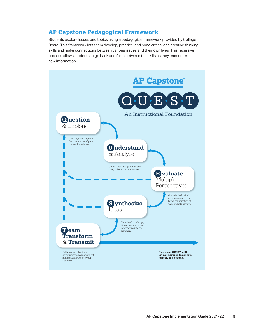### <span id="page-8-0"></span>**AP Capstone Pedagogical Framework**

Students explore issues and topics using a pedagogical framework provided by College Board. This framework lets them develop, practice, and hone critical and creative thinking skills and make connections between various issues and their own lives. This recursive process allows students to go back and forth between the skills as they encounter new information.

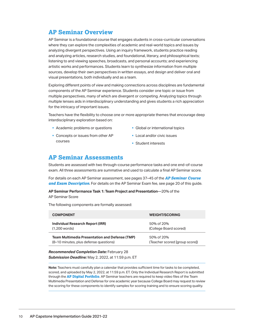### <span id="page-9-0"></span>**AP Seminar Overview**

AP Seminar is a foundational course that engages students in cross-curricular conversations where they can explore the complexities of academic and real-world topics and issues by analyzing divergent perspectives. Using an inquiry framework, students practice reading and analyzing articles, research studies, and foundational, literary, and philosophical texts; listening to and viewing speeches, broadcasts, and personal accounts; and experiencing artistic works and performances. Students learn to synthesize information from multiple sources, develop their own perspectives in written essays, and design and deliver oral and visual presentations, both individually and as a team.

Exploring different points of view and making connections across disciplines are fundamental components of the AP Seminar experience. Students consider one topic or issue from multiple perspectives, many of which are divergent or competing. Analyzing topics through multiple lenses aids in interdisciplinary understanding and gives students a rich appreciation for the intricacy of important issues.

Teachers have the flexibility to choose one or more appropriate themes that encourage deep interdisciplinary exploration based on:

- Academic problems or questions
- Concepts or issues from other AP courses
- § Global or international topics
- Local and/or civic issues
- § Student interests

### **AP Seminar Assessments**

Students are assessed with two through-course performance tasks and one end-of-course exam. All three assessments are summative and used to calculate a final AP Seminar score.

For details on each AP Seminar assessment, see pages 37–45 of the *[AP Seminar Course](https://apcentral.collegeboard.org/pdf/ap-seminar-course-and-exam-description.pdf)  [and Exam Description](https://apcentral.collegeboard.org/pdf/ap-seminar-course-and-exam-description.pdf)*. For details on the AP Seminar Exam fee, see page 20 of this guide.

 **AP Seminar Performance Task 1: Team Project and Presentation**—20% of the AP Seminar Score

 The following components are formally assessed:

| <b>COMPONENT</b>                                      | <b>WEIGHT/SCORING</b>          |
|-------------------------------------------------------|--------------------------------|
| Individual Research Report (IRR)                      | 50% of 20%                     |
| $(1,200$ words)                                       | (College Board scored)         |
| <b>Team Multimedia Presentation and Defense (TMP)</b> | 50% of 20%                     |
| (8-10 minutes, plus defense questions)                | (Teacher scored [group score]) |

 *Submission Deadline:* May 2, 2022, at 11:59 p.m. ET *Recommended Completion Date:* February 28

 **Note:** Teachers must carefully plan a calendar that provides sufficient time for tasks to be completed, scored, and uploaded by May 2, 2022, at 11:59 p.m. ET. Only the Individual Research Report is submitted through the **[AP Digital Portfolio](https://digitalportfolio.collegeboard.org/)**. AP Seminar teachers are required to keep video files of the Team Multimedia Presentation and Defense for one academic year because College Board may request to review the scoring for these components to identify samples for scoring training and to ensure scoring quality.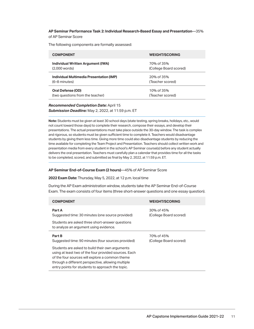#### **AP Seminar Performance Task 2: Individual Research-Based Essay and Presentation**—35% of AP Seminar Score

 The following components are formally assessed:

| <b>COMPONENT</b>                         | <b>WEIGHT/SCORING</b>  |
|------------------------------------------|------------------------|
| Individual Written Argument (IWA)        | 70% of 35%             |
| $(2,000$ words)                          | (College Board scored) |
| Individual Multimedia Presentation (IMP) | 20% of 35%             |
| (6–8 minutes)                            | (Teacher scored)       |
| Oral Defense (OD)                        | 10% of 35%             |
| (two questions from the teacher)         | (Teacher scored)       |

### *Submission Deadline:* May 2, 2022, at 11:59 p.m. ET *Recommended Completion Date:* April 15

**Note:** Students must be given at least 30 school days (state testing, spring breaks, holidays, etc., would not count toward those days) to complete their research, compose their essays, and develop their presentations. The actual presentations must take place outside the 30-day window. The task is complex and rigorous, so students must be given sufficient time to complete it. Teachers would disadvantage students by giving them less time. Giving more time could also disadvantage students by reducing the time available for completing the Team Project and Presentation. Teachers should collect written work and presentation media from every student in the school's AP Seminar course(s) before any student actually delivers the oral presentation. Teachers must carefully plan a calendar that provides time for all the tasks to be completed, scored, and submitted as final by May 2, 2022, at 11:59 p.m. ET.

### **AP Seminar End-of-Course Exam (2 hours)**—45% of AP Seminar Score

### **2022 Exam Date:** Thursday, May 5, 2022, at 12 p.m. local time

During the AP Exam administration window, students take the AP Seminar End-of-Course Exam. The exam consists of four items (three short-answer questions and one essay question).

| <b>COMPONENT</b>                                                                          | <b>WEIGHT/SCORING</b>                |
|-------------------------------------------------------------------------------------------|--------------------------------------|
| Part A<br>Suggested time: 30 minutes (one source provided)                                | 30% of 45%<br>(College Board scored) |
| Students are asked three short-answer questions<br>to analyze an argument using evidence. |                                      |
| Part B<br>Suggested time: 90 minutes (four sources provided)                              | 70% of 45%<br>(College Board scored) |
| Students are asked to build their own arguments                                           |                                      |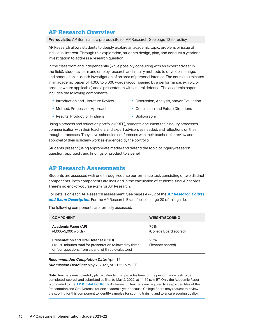### <span id="page-11-0"></span>**AP Research Overview**

**Prerequisite:** AP Seminar is a prerequisite for AP Research. See page 13 for policy.

AP Research allows students to deeply explore an academic topic, problem, or issue of individual interest. Through this exploration, students design, plan, and conduct a yearlong investigation to address a research question.

In the classroom and independently (while possibly consulting with an expert adviser in the field), students learn and employ research and inquiry methods to develop, manage, and conduct an in-depth investigation of an area of personal interest. The course culminates in an academic paper of 4,000 to 5,000 words (accompanied by a performance, exhibit, or product where applicable) and a presentation with an oral defense. The academic paper includes the following components:

- **Introduction and Literature Review**
- Discussion, Analysis, and/or Evaluation
- § Method, Process, or Approach
- § Results, Product, or Findings
- Conclusion and Future Directions
- § Bibliography

Using a process and reflection portfolio (PREP), students document their inquiry processes, communication with their teachers and expert advisers as needed, and reflections on their thought processes. They have scheduled conferences with their teachers for review and approval of their scholarly work as evidenced by the portfolio.

Students present (using appropriate media) and defend the topic of inquiry/research question, approach, and findings or product to a panel.

### **AP Research Assessments**

Students are assessed with one through-course performance task consisting of two distinct components. Both components are included in the calculation of students' final AP scores. There's no end-of-course exam for AP Research.

For details on each AP Research assessment, See pages 47–52 of the *[AP Research Course](https://apcentral.collegeboard.org/pdf/ap-research-course-and-exam-description.pdf)  [and Exam Description](https://apcentral.collegeboard.org/pdf/ap-research-course-and-exam-description.pdf)*. For the AP Research Exam fee, see page 20 of this guide.

 The following components are formally assessed:

| <b>COMPONENT</b>                                                                                                                                             | <b>WEIGHT/SCORING</b>         |
|--------------------------------------------------------------------------------------------------------------------------------------------------------------|-------------------------------|
| <b>Academic Paper (AP)</b><br>(4,000-5,000 words)                                                                                                            | 75%<br>(College Board scored) |
| <b>Presentation and Oral Defense (POD)</b><br>(15-20 minutes total for presentation followed by three<br>or four questions from a panel of three evaluators) | 25%<br>(Teacher scored)       |

 *Submission Deadline:* May 2, 2022, at 11:59 p.m. ET *Recommended Completion Date:* April 15

 **Note:** Teachers must carefully plan a calendar that provides time for the performance task to be completed, scored, and submitted as final by May 2, 2022, at 11:59 p.m. ET. Only the Academic Paper is uploaded to the **[AP Digital Portfolio](https://digitalportfolio.collegeboard.org/)**. AP Research teachers are required to keep video files of the Presentation and Oral Defense for one academic year because College Board may request to review the scoring for this component to identify samples for scoring training and to ensure scoring quality.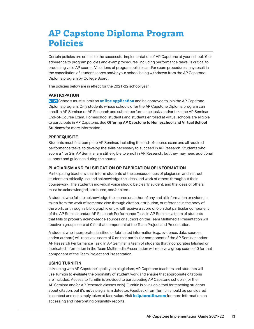# <span id="page-12-0"></span>**AP Capstone Diploma Program Policies**

Certain policies are critical to the successful implementation of AP Capstone at your school. Your adherence to program policies and exam procedures, including performance tasks, is critical to producing valid AP scores. Violations of program policies and/or exam procedures may result in the cancellation of student scores and/or your school being withdrawn from the AP Capstone Diploma program by College Board.

 The policies below are in effect for the 2021-22 school year.

#### **PARTICIPATION**

**NEW** Schools must submit an **[online application](https://collegeboard.force.com/APCapstone/s/)** and be approved to join the AP Capstone Diploma program. Only students whose schools offer the AP Capstone Diploma program can enroll in AP Seminar or AP Research and submit performance tasks and/or take the AP Seminar End-of-Course Exam. Homeschool students and students enrolled at virtual schools are eligible to participate in AP Capstone. See **Offering AP Capstone to Homeschool and Virtual School Students** for more information.

#### **PREREQUISITE**

Students must first complete AP Seminar, including the end-of-course exam and all required performance tasks, to develop the skills necessary to succeed in AP Research. Students who score a 1 or 2 in AP Seminar are still eligible to enroll in AP Research, but they may need additional support and guidance during the course.

#### **PLAGIARISM AND FALSIFICATION OR FABRICATION OF INFORMATION**

Participating teachers shall inform students of the consequences of plagiarism and instruct students to ethically use and acknowledge the ideas and work of others throughout their coursework. The student's individual voice should be clearly evident, and the ideas of others must be acknowledged, attributed, and/or cited.

A student who fails to acknowledge the source or author of any and all information or evidence taken from the work of someone else through citation, attribution, or reference in the body of the work, or through a bibliographic entry, will receive a score of 0 on that particular component of the AP Seminar and/or AP Research Performance Task. In AP Seminar, a team of students that fails to properly acknowledge sources or authors on the Team Multimedia Presentation will receive a group score of 0 for that component of the Team Project and Presentation.

A student who incorporates falsified or fabricated information (e.g., evidence, data, sources, and/or authors) will receive a score of 0 on that particular component of the AP Seminar and/or AP Research Performance Task. In AP Seminar, a team of students that incorporates falsified or fabricated information in the Team Multimedia Presentation will receive a group score of 0 for that component of the Team Project and Presentation.

#### **USING TURNITIN**

use Turnitin to evaluate the originality of student work and ensure that appropriate citations are included. Access to Turnitin is provided to participating AP Capstone schools (for their AP Seminar and/or AP Research classes only). Turnitin is a valuable tool for teaching students about citation, but it's **not** a plagiarism detector. Feedback from Turnitin should be considered in context and not simply taken at face value. Visit **[help.turnitin.com](https://help.turnitin.com/new-links.htm)** for more information on In keeping with AP Capstone's policy on plagiarism, AP Capstone teachers and students will accessing and interpreting originality reports.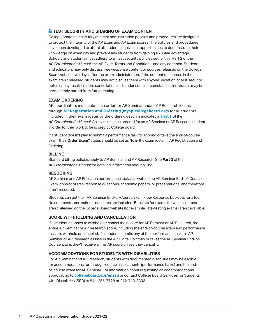### <span id="page-13-0"></span> **TEST SECURITY AND SHARING OF EXAM CONTENT**

College Board test security and test administration policies and procedures are designed to protect the integrity of the AP Exam and AP Exam scores. The policies and procedures have been developed to afford all students equivalent opportunities to demonstrate their knowledge on exam day and prevent any students from gaining an unfair advantage. Schools and students must adhere to all test security policies set forth in Part 2 of the *AP Coordinator's Manual,* the AP Exam Terms and Conditions, and any addenda. Students and educators may only discuss free-response content or sources released on the College Board website two days after the exam administration. If the content or sources in the exam aren't released, students may not discuss them with anyone. Violation of test security policies may result in score cancellation and, under some circumstances, individuals may be permanently barred from future testing.

#### **EXAM ORDERING**

AP coordinators must submit an order for AP Seminar and/or AP Research Exams through **[AP Registration and Ordering](http://myap.collegeboard.org)** (**[myap.collegeboard.org](http://myap.collegeboard.org)**) for all students included in their exam roster by the ordering deadline indicated in **[Part 1](http://collegeboard.org/apcoordinatorsmanual-part1)** of the *AP Coordinator's Manual*. An exam must be ordered for an AP Seminar or AP Research student in order for their work to be scored by College Board.

If a student doesn't plan to submit a performance task for scoring or take the end-of-course exam, their **Order Exam?** status should be set as **No** in the exam roster in AP Registration and Ordering.

#### **BILLING**

 Standard billing policies apply to AP Seminar and AP Research. See **Part 2** of the *AP Coordinator's Manual* for detailed information about billing.

#### **RESCORING**

AP Seminar and AP Research performance tasks, as well as the AP Seminar End-of-Course Exam, consist of free-response questions, academic papers, or presentations, and therefore aren't rescored.

Students can get their AP Seminar End-of-Course Exam Free-Response booklets for a fee. No comments, corrections, or scores are included. Booklets for exams for which sources aren't released on the College Board website (for example, late-testing exams) aren't available.

### **SCORE WITHHOLDING AND CANCELLATION**

If a student chooses to withhold or cancel their score for AP Seminar or AP Research, the entire AP Seminar or AP Research score, including the end-of-course exam and performance tasks, is withheld or canceled. If a student submits any of the performance tasks in AP Seminar or AP Research as final in the AP Digital Portfolio or takes the AP Seminar End-of-Course Exam, they'll receive a final AP score unless they cancel it.

#### **ACCOMMODATIONS FOR STUDENTS WITH DISABILITIES**

For AP Seminar and AP Research, students with documented disabilities may be eligible for accommodations for through-course assessments (performance tasks) and the endof-course exam for AP Seminar. For information about requesting an accommodations approval, go to **[collegeboard.org/apssd](http://collegeboard.org/apssd)** or contact College Board Services for Students with Disabilities (SSD) at 844-255-7728 or 212-713-8333.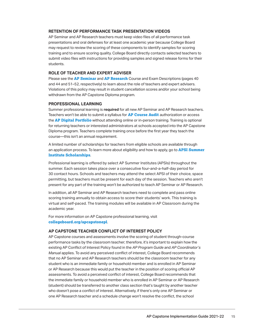#### <span id="page-14-0"></span>**RETENTION OF PERFORMANCE TASK PRESENTATION VIDEOS**

AP Seminar and AP Research teachers must keep video files of all performance task presentations and oral defenses for at least one academic year because College Board may request to review the scoring of these components to identify samples for scoring training and to ensure scoring quality. College Board directly contacts selected teachers to submit video files with instructions for providing samples and signed release forms for their students.

### **ROLE OF TEACHER AND EXPERT ADVISER**

 and 44 and 51–52, respectively) to learn about the role of teachers and expert advisers. Violations of this policy may result in student cancellation scores and/or your school being Please see the **[AP Seminar](https://apcentral.collegeboard.org/pdf/ap-seminar-course-and-exam-description.pdf)** and **[AP Research](https://apcentral.collegeboard.org/pdf/ap-research-course-and-exam-description.pdf)** Course and Exam Descriptions (pages 40 withdrawn from the AP Capstone Diploma program.

#### **PROFESSIONAL LEARNING**

  Teachers won't be able to submit a syllabus for **[AP Course Audit](https://apcentral.collegeboard.org/courses/ap-course-audit)** authorization or access the **[AP Digital Portfolio](https://digitalportfolio.collegeboard.org/)** without attending online or in-person training. Training is optional Diploma program. Teachers complete training once before the first year they teach the course—this isn't an annual requirement. Summer professional learning is **required** for all new AP Seminar and AP Research teachers. for returning teachers or interested administrators at schools accepted into the AP Capstone

 an application process. To learn more about eligibility and how to apply, go to **[APSI Summer](https://apcentral.collegeboard.org/learning-development/workshops-summer-institutes/summer-institute-scholarship)**  A limited number of scholarships for teachers from eligible schools are available through **[Institute Scholarships](https://apcentral.collegeboard.org/learning-development/workshops-summer-institutes/summer-institute-scholarship)**.

Professional learning is offered by select AP Summer Institutes (APSIs) throughout the summer. Each session takes place over a consecutive four-and-a-half-day period for 30 contact hours. Schools and teachers may attend the select APSI of their choice, space permitting, but teachers must be present for each day of the session. Teachers who aren't present for any part of the training won't be authorized to teach AP Seminar or AP Research.

In addition, all AP Seminar and AP Research teachers need to complete and pass online scoring training annually to obtain access to score their students' work. This training is virtual and self-paced. The training modules will be available in AP Classroom during the academic year.

For more information on AP Capstone professional learning, visit **[collegeboard.org/apcapstonep](https://collegeboard.org/apcapstonepl)l**.

#### **AP CAPSTONE TEACHER CONFLICT OF INTEREST POLICY**

AP Capstone courses and assessments involve the scoring of student through-course performance tasks by the classroom teacher; therefore, it's important to explain how the existing AP Conflict of Interest Policy found in the *AP Program Guide* and *AP Coordinator's Manual* applies. To avoid any perceived conflict of interest, College Board recommends that no AP Seminar and AP Research teachers should be the classroom teacher for any student who is an immediate family or household member and is enrolled in AP Seminar or AP Research because this would put the teacher in the position of scoring official AP assessments. To avoid a perceived conflict of interest, College Board recommends that the immediate family or household member who is enrolled in AP Seminar or AP Research (student) should be transferred to another class section that's taught by another teacher who doesn't pose a conflict of interest. Alternatively, if there's only one AP Seminar or one AP Research teacher and a schedule change won't resolve the conflict, the school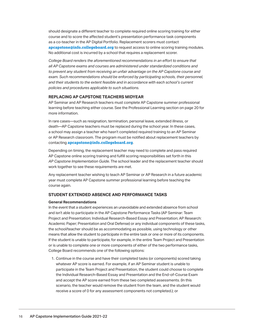<span id="page-15-0"></span>should designate a different teacher to complete required online scoring training for either course and to score the affected student's presentation performance task components as a co-teacher in the AP Digital Portfolio. Replacement scorers must contact **[apcapstone@info.collegeboard.org](mailto:apcapstone@info.collegeboard.org)** to request access to online scoring training modules. No additional cost is incurred by a school that requires a replacement scorer.

*College Board renders the aforementioned recommendations in an effort to ensure that all AP Capstone exams and courses are administered under standardized conditions and to prevent any student from receiving an unfair advantage on the AP Capstone course and exam. Such recommendations should be enforced by participating schools, their personnel, and their students to the extent feasible and in accordance with each school's current policies and procedures applicable to such situations.*

### **REPLACING AP CAPSTONE TEACHERS MIDYEAR**

AP Seminar and AP Research teachers must complete AP Capstone summer professional learning before teaching either course. See the Professional Learning section on page 20 for more information.

 In rare cases—such as resignation, termination, personal leave, extended illness, or death—AP Capstone teachers must be replaced during the school year. In these cases, or AP Research classroom. The program must be notified about replacement teachers by a school may assign a teacher who hasn't completed required training to an AP Seminar contacting **[apcapstone@info.collegeboard.org](mailto:apcapstone@info.collegeboard.org)**.

Depending on timing, the replacement teacher may need to complete and pass required AP Capstone online scoring training and fulfill scoring responsibilities set forth in this *AP Capstone Implementation Guide*. The school leader and the replacement teacher should work together to see these requirements are met.

Any replacement teacher wishing to teach AP Seminar or AP Research in a future academic year must complete AP Capstone summer professional learning before teaching the course again.

#### **STUDENT EXTENDED ABSENCE AND PERFORMANCE TASKS**

#### **General Recommendations**

In the event that a student experiences an unavoidable and extended absence from school and isn't able to participate in the AP Capstone Performance Tasks (AP Seminar: Team Project and Presentation; Individual Research-Based Essay and Presentation; AP Research: Academic Paper; Presentation and Oral Defense) or any individual components of these tasks, the school/teacher should be as accommodating as possible, using technology or other means that allow the student to participate in the entire task or one or more of its components. If the student is unable to participate, for example, in the entire Team Project and Presentation or is unable to complete one or more components of either of the two performance tasks, College Board recommends one of the following options:

1. Continue in the course and have their completed tasks (or components) scored taking whatever AP score is earned. For example, if an AP Seminar student is unable to participate in the Team Project and Presentation, the student could choose to complete the Individual Research-Based Essay and Presentation and the End-of-Course Exam and accept the AP score earned from these two completed assessments. (In this scenario, the teacher would remove the student from the team, and the student would receive a score of 0 for any assessment components not completed.); or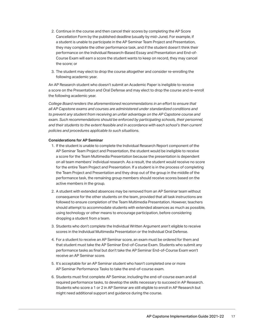- 2. Continue in the course and then cancel their scores by completing the AP Score Cancellation Form by the published deadline (usually by mid-June). For example, if a student is unable to participate in the AP Seminar Team Project and Presentation, they may complete the other performance task, and if the student doesn't think their performance on the Individual Research-Based Essay and Presentation and End-of-Course Exam will earn a score the student wants to keep on record, they may cancel the score; or
- 3. The student may elect to drop the course altogether and consider re-enrolling the following academic year.

An AP Research student who doesn't submit an Academic Paper is ineligible to receive a score on the Presentation and Oral Defense and may elect to drop the course and re-enroll the following academic year.

*College Board renders the aforementioned recommendations in an effort to ensure that all AP Capstone exams and courses are administered under standardized conditions and to prevent any student from receiving an unfair advantage on the AP Capstone course and exam. Such recommendations should be enforced by participating schools, their personnel, and their students to the extent feasible and in accordance with each school's then current policies and procedures applicable to such situations.*

#### **Considerations for AP Seminar**

- 1. If the student is unable to complete the Individual Research Report component of the AP Seminar Team Project and Presentation, the student would be ineligible to receive a score for the Team Multimedia Presentation because the presentation is dependent on all team members' individual research. As a result, the student would receive no score for the entire Team Project and Presentation. If a student is in the process of completing the Team Project and Presentation and they drop out of the group in the middle of the performance task, the remaining group members should receive scores based on the active members in the group.
- 2. A student with extended absences may be removed from an AP Seminar team without consequence for the other students on the team, provided that all task instructions are followed to ensure completion of the Team Multimedia Presentation. However, teachers should attempt to accommodate students with extended absences as much as possible, using technology or other means to encourage participation, before considering dropping a student from a team.
- 3. Students who don't complete the Individual Written Argument aren't eligible to receive scores in the Individual Multimedia Presentation or the Individual Oral Defense.
- 4. For a student to receive an AP Seminar score, an exam must be ordered for them and that student must take the AP Seminar End-of-Course Exam. Students who submit any performance tasks as final but don't take the AP Seminar End-of-Course Exam won't receive an AP Seminar score.
- 5. It's acceptable for an AP Seminar student who hasn't completed one or more AP Seminar Performance Tasks to take the end-of-course exam.
- 6. Students must first complete AP Seminar, including the end-of-course exam and all required performance tasks, to develop the skills necessary to succeed in AP Research. Students who score a 1 or 2 in AP Seminar are still eligible to enroll in AP Research but might need additional support and guidance during the course.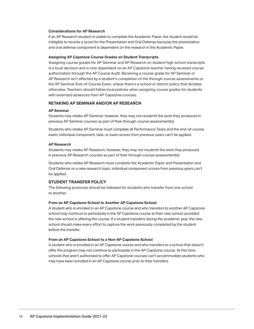#### <span id="page-17-0"></span>**Considerations for AP Research**

If an AP Research student is unable to complete the Academic Paper, the student would be ineligible to receive a score for the Presentation and Oral Defense because the presentation and oral defense component is dependent on the research in the Academic Paper.

#### **Assigning AP Capstone Course Grades on Student Transcripts**

Assigning course grades for AP Seminar and AP Research on student high school transcripts is a local decision and is only dependent on an AP Capstone teacher having received course authorization through the AP Course Audit. Receiving a course grade for AP Seminar or AP Research isn't affected by a student's completion of the through-course assessments or the AP Seminar End-of-Course Exam, unless there's a school or district policy that dictates otherwise. Teachers should follow local policies when assigning course grades for students with extended absences from AP Capstone courses.

#### **RETAKING AP SEMINAR AND/OR AP RESEARCH**

#### **AP Seminar**

Students may retake AP Seminar; however, they may not resubmit the work they produced in previous AP Seminar courses as part of their through-course assessment(s).

Students who retake AP Seminar must complete all Performance Tasks and the end-of-course exam; individual component, task, or exam scores from previous years can't be applied.

#### **AP Research**

Students may retake AP Research; however, they may not resubmit the work they produced in previous AP Research courses as part of their through-course assessment(s).

Students who retake AP Research must complete the Academic Paper and Presentation and Oral Defense on a new research topic; individual component scores from previous years can't be applied.

#### **STUDENT TRANSFER POLICY**

The following protocols should be followed for students who transfer from one school to another.

#### **From an AP Capstone School to Another AP Capstone School**

A student who is enrolled in an AP Capstone course and who transfers to another AP Capstone school may continue to participate in the AP Capstone course at their new school, provided the new school is offering the course. If a student transfers during the academic year, the new school should make every effort to capture the work previously completed by the student before the transfer.

#### **From an AP Capstone School to a Non-AP Capstone School**

A student who is enrolled in an AP Capstone course and who transfers to a school that doesn't offer the program may not continue to participate in the AP Capstone course. At this time, schools that aren't authorized to offer AP Capstone courses can't accommodate students who may have been enrolled in an AP Capstone course prior to their transfers.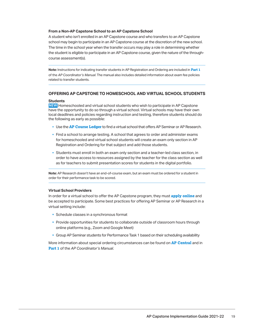#### <span id="page-18-0"></span>**From a Non-AP Capstone School to an AP Capstone School**

A student who isn't enrolled in an AP Capstone course and who transfers to an AP Capstone school may begin to participate in an AP Capstone course at the discretion of the new school. The time in the school year when the transfer occurs may play a role in determining whether the student is eligible to participate in an AP Capstone course, given the nature of the throughcourse assessment(s).

 of the *AP Coordinator's Manual*. The manual also includes detailed information about exam fee policies **Note:** Instructions for indicating transfer students in AP Registration and Ordering are included in **[Part 1](http://collegeboard.org/apcoordinatorsmanual-part1)**  related to transfer students.

#### **OFFERING AP CAPSTONE TO HOMESCHOOL AND VIRTUAL SCHOOL STUDENTS**

#### **Students**

 have the opportunity to do so through a virtual school. Virtual schools may have their own **NEW** Homeschooled and virtual school students who wish to participate in AP Capstone local deadlines and policies regarding instruction and testing, therefore students should do the following as early as possible:

- § Use the **[AP Course Ledger](https://apcourseaudit.inflexion.org/ledger)** to find a virtual school that offers AP Seminar or AP Research.
- **Find a school to arrange testing. A school that agrees to order and administer exams** for homeschooled and virtual school students will create an exam only section in AP Registration and Ordering for that subject and add those students.
- § Students must enroll in both an exam only section and a teacher-led class section, in order to have access to resources assigned by the teacher for the class section as well as for teachers to submit presentation scores for students in the digital portfolio.

**Note:** AP Research doesn't have an end-of-course exam, but an exam must be ordered for a student in order for their performance task to be scored.

#### **Virtual School Providers**

In order for a virtual school to offer the AP Capstone program, they must **[apply online](https://collegeboard.force.com/APCapstone/s/)** and be accepted to participate. Some best practices for offering AP Seminar or AP Research in a virtual setting include:

- § Schedule classes in a synchronous format
- online platforms (e.g., Zoom and Google Meet) **• Provide opportunities for students to collaborate outside of classroom hours through**
- § Group AP Seminar students for Performance Task 1 based on their scheduling availability

 More information about special ordering circumstances can be found on **[AP Central](https://apcentral.collegeboard.org/exam-administration-ordering-scores/ordering-fees/ordering-exam-materials/special-ordering-circumstances/home-schooled-student)** and in **[Part 1](http://collegeboard.org/apcoordinatorsmanual-part1)** of the *AP Coordinator's Manual*.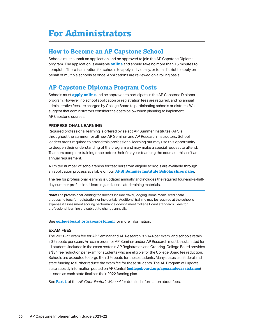# <span id="page-19-0"></span>**For Administrators**

### **How to Become an AP Capstone School**

 program. The application is available **[online](https://collegeboard.force.com/APCapstone/s/)** and should take no more than 15 minutes to complete. There is an option for schools to apply individually, or for a district to apply on Schools must submit an application and be approved to join the AP Capstone Diploma behalf of multiple schools at once. Applications are reviewed on a rolling basis.

### **AP Capstone Diploma Program Costs**

 program. However, no school application or registration fees are required, and no annual suggest that administrators consider the costs below when planning to implement Schools must **[apply online](https://collegeboard.force.com/APCapstone/s/)** and be approved to participate in the AP Capstone Diploma administrative fees are charged by College Board to participating schools or districts. We AP Capstone courses.

### **PROFESSIONAL LEARNING**

Teachers complete training once before their first year teaching the course—this isn't an Required professional learning is offered by select AP Summer Institutes (APSIs) throughout the summer for all new AP Seminar and AP Research instructors. School leaders aren't required to attend this professional learning but may use this opportunity to deepen their understanding of the program and may make a special request to attend. annual requirement.

 an application process available on our **[APSI Summer Institute Scholarships page](https://apcentral.collegeboard.org/learning-development/workshops-summer-institutes/summer-institute-scholarship)**. A limited number of scholarships for teachers from eligible schools are available through

 The fee for professional learning is updated annually and includes the required four-and-a-halfday summer professional learning and associated training materials.

 **Note:** The professional learning fee doesn't include travel, lodging, some meals, credit card processing fees for registration, or incidentals. Additional training may be required at the school's expense if assessment scoring performance doesn't meet College Board standards. Fees for professional learning are subject to change annually.

 See **[collegeboard.org/apcapstonepl](http://collegeboard.org/apcapstonepl)** for more information.

### **EXAM FEES**

 The 2021-22 exam fee for AP Seminar and AP Research is \$144 per exam, and schools retain a \$9 rebate per exam. An exam order for AP Seminar and/or AP Research must be submitted for a \$34 fee reduction per exam for students who are eligible for the College Board fee reduction. Schools are expected to forgo their \$9 rebate for these students. Many states use federal and state funding to further reduce the exam fee for these students. The AP Program will update all students included in the exam roster in AP Registration and Ordering. College Board provides state subsidy information posted on AP Central (**[collegeboard.org/apexamfeeassistance](http://collegeboard.org/apexamfeeassistance)**) as soon as each state finalizes their 2022 funding plan.

See **[Part 1](http://collegeboard.org/apcoordinatorsmanual-part1)** of the *AP Coordinator's Manual* for detailed information about fees.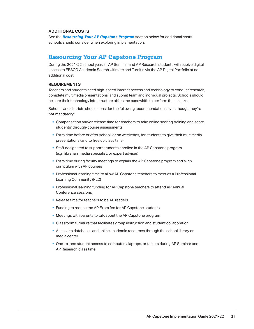#### <span id="page-20-0"></span>**ADDITIONAL COSTS**

See the *Resourcing Your AP Capstone Program* section below for additional costs schools should consider when exploring implementation.

### **Resourcing Your AP Capstone Program**

During the 2021-22 school year, all AP Seminar and AP Research students will receive digital access to EBSCO Academic Search Ultimate and Turnitin via the AP Digital Portfolio at no additional cost.

#### **REQUIREMENTS**

Teachers and students need high-speed internet access and technology to conduct research, complete multimedia presentations, and submit team and individual projects. Schools should be sure their technology infrastructure offers the bandwidth to perform these tasks.

Schools and districts should consider the following recommendations even though they're **not** mandatory:

- § Compensation and/or release time for teachers to take online scoring training and score students' through-course assessments
- **Extra time before or after school, or on weekends, for students to give their multimedia** presentations (and to free up class time)
- Staff designated to support students enrolled in the AP Capstone program (e.g., librarian, media specialist, or expert adviser)
- **Extra time during faculty meetings to explain the AP Capstone program and align** curriculum with AP courses
- § Professional learning time to allow AP Capstone teachers to meet as a Professional Learning Community (PLC)
- § Professional learning funding for AP Capstone teachers to attend AP Annual Conference sessions
- Release time for teachers to be AP readers
- Funding to reduce the AP Exam fee for AP Capstone students
- § Meetings with parents to talk about the AP Capstone program
- Classroom furniture that facilitates group instruction and student collaboration
- § Access to databases and online academic resources through the school library or media center
- AP Research class time§ One-to-one student access to computers, laptops, or tablets during AP Seminar and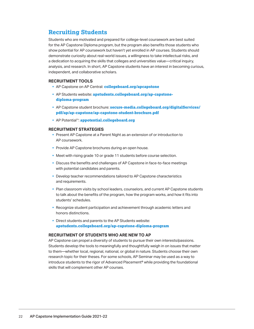### <span id="page-21-0"></span>**Recruiting Students**

Students who are motivated and prepared for college-level coursework are best suited for the AP Capstone Diploma program, but the program also benefits those students who show potential for AP coursework but haven't yet enrolled in AP courses. Students should demonstrate curiosity about real-world issues, a willingness to take intellectual risks, and a dedication to acquiring the skills that colleges and universities value—critical inquiry, analysis, and research. In short, AP Capstone students have an interest in becoming curious, independent, and collaborative scholars.

### **RECRUITMENT TOOLS**

- § AP Capstone on AP Central: **[collegeboard.org/apcapstone](https://collegeboard.org/apcapstone)**
- § AP Students website: **[apstudents.collegeboard.org/ap-capstone](https://apstudents.collegeboard.org/ap-capstone-diploma-program)[diploma-program](https://apstudents.collegeboard.org/ap-capstone-diploma-program)**
- § AP Capstone student brochure: **[secure-media.collegeboard.org/digitalServices/](https://secure-media.collegeboard.org/digitalServices/pdf/ap/ap-capstone/ap-capstone-student-brochure.pdf) [pdf/ap/ap-capstone/ap-capstone-student-brochure.pdf](https://secure-media.collegeboard.org/digitalServices/pdf/ap/ap-capstone/ap-capstone-student-brochure.pdf)**
- § AP Potential™: **[appotential.collegeboard.org](http://appotential.collegeboard.org)**

### **RECRUITMENT STRATEGIES**

- § Present AP Capstone at a Parent Night as an extension of or introduction to AP coursework.
- Provide AP Capstone brochures during an open house.
- § Meet with rising grade 10 or grade 11 students before course selection.
- § Discuss the benefits and challenges of AP Capstone in face-to-face meetings with potential candidates and parents.
- § Develop teacher recommendations tailored to AP Capstone characteristics and requirements.
- to talk about the benefits of the program, how the program works, and how it fits into • Plan classroom visits by school leaders, counselors, and current AP Capstone students students' schedules.
- § Recognize student participation and achievement through academic letters and honors distinctions.
- § Direct students and parents to the AP Students website: **[apstudents.collegeboard.org/ap-capstone-diploma-program](https://apstudents.collegeboard.org/ap-capstone-diploma-program)**

### **RECRUITMENT OF STUDENTS WHO ARE NEW TO AP**

AP Capstone can propel a diversity of students to pursue their own interests/passions. Students develop the tools to meaningfully and thoughtfully weigh in on issues that matter to them—whether local, regional, national, or global in nature. Students choose their own research topic for their theses. For some schools, AP Seminar may be used as a way to introduce students to the rigor of Advanced Placement® while providing the foundational skills that will complement other AP courses.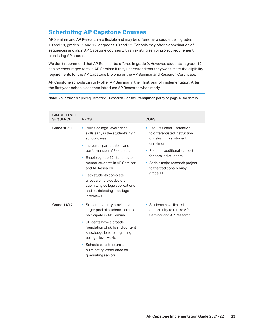### <span id="page-22-0"></span>**Scheduling AP Capstone Courses**

AP Seminar and AP Research are flexible and may be offered as a sequence in grades 10 and 11, grades 11 and 12, or grades 10 and 12. Schools may offer a combination of sequences and align AP Capstone courses with an existing senior project requirement or existing AP courses.

We don't recommend that AP Seminar be offered in grade 9. However, students in grade 12 can be encouraged to take AP Seminar if they understand that they won't meet the eligibility requirements for the AP Capstone Diploma or the AP Seminar and Research Certificate.

AP Capstone schools can only offer AP Seminar in their first year of implementation. After the first year, schools can then introduce AP Research when ready.

**Note:** AP Seminar is a prerequisite for AP Research. See the **Prerequisite** policy on page 13 for details.

| <b>GRADE-LEVEL</b><br><b>SEQUENCE</b> | <b>PROS</b>                                                                                                                                                                                                                                                                                                                                                                                 | <b>CONS</b>                                                                                                                                                                                                                                     |
|---------------------------------------|---------------------------------------------------------------------------------------------------------------------------------------------------------------------------------------------------------------------------------------------------------------------------------------------------------------------------------------------------------------------------------------------|-------------------------------------------------------------------------------------------------------------------------------------------------------------------------------------------------------------------------------------------------|
| <b>Grade 10/11</b>                    | • Builds college-level critical<br>skills early in the student's high<br>school career.<br>Increases participation and<br>×<br>performance in AP courses.<br>• Enables grade 12 students to<br>mentor students in AP Seminar<br>and AP Research.<br>• Lets students complete<br>a research project before<br>submitting college applications<br>and participating in college<br>interviews. | • Requires careful attention<br>to differentiated instruction<br>or risks limiting student<br>enrollment.<br>• Requires additional support<br>for enrolled students.<br>Adds a major research project<br>to the traditionally busy<br>grade 11. |
| <b>Grade 11/12</b>                    | • Student maturity provides a<br>larger pool of students able to<br>participate in AP Seminar.<br>• Students have a broader<br>foundation of skills and content<br>knowledge before beginning<br>college-level work.<br>• Schools can structure a<br>culminating experience for<br>graduating seniors.                                                                                      | • Students have limited<br>opportunity to retake AP<br>Seminar and AP Research.                                                                                                                                                                 |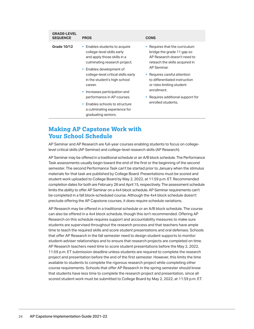<span id="page-23-0"></span>

| <b>GRADE-LEVEL</b><br><b>SEQUENCE</b> | <b>PROS</b>                                                                                                                                                                                                                                                                                                                                                                                                 | <b>CONS</b>                                                                                                                                                                                                                                                                                                    |
|---------------------------------------|-------------------------------------------------------------------------------------------------------------------------------------------------------------------------------------------------------------------------------------------------------------------------------------------------------------------------------------------------------------------------------------------------------------|----------------------------------------------------------------------------------------------------------------------------------------------------------------------------------------------------------------------------------------------------------------------------------------------------------------|
| <b>Grade 10/12</b>                    | Enables students to acquire<br>ш<br>college-level skills early<br>and apply those skills in a<br>culminating research project.<br>• Enables development of<br>college-level critical skills early<br>in the student's high school<br>career.<br>Increases participation and<br>I.<br>performance in AP courses.<br>Enables schools to structure<br>٠<br>a culminating experience for<br>graduating seniors. | Requires that the curriculum<br>bridge the grade 11 gap so<br>AP Research doesn't need to<br>reteach the skills acquired in<br>AP Seminar.<br>Requires careful attention<br>to differentiated instruction<br>or risks limiting student<br>enrollment.<br>Requires additional support for<br>enrolled students. |
|                                       |                                                                                                                                                                                                                                                                                                                                                                                                             |                                                                                                                                                                                                                                                                                                                |

### **Making AP Capstone Work with Your School Schedule**

AP Seminar and AP Research are full-year courses enabling students to focus on collegelevel critical skills (AP Seminar) and college-level research skills (AP Research).

AP Seminar may be offered in a traditional schedule or an A/B block schedule. The Performance Task assessments usually begin toward the end of the first or the beginning of the second semester. The second Performance Task can't be started prior to January when the stimulus materials for that task are published by College Board. Presentations must be scored and student work uploaded to College Board by May 2, 2022, at 11:59 p.m. ET. Recommended completion dates for both are February 28 and April 15, respectively. The assessment schedule limits the ability to offer AP Seminar on a 4x4 block schedule. AP Seminar requirements can't be completed in a fall block-scheduled course. Although the 4x4 block schedule doesn't preclude offering the AP Capstone courses, it does require schedule variations.

AP Research may be offered in a traditional schedule or an A/B block schedule. The course can also be offered in a 4x4 block schedule, though this isn't recommended. Offering AP Research on this schedule requires support and accountability measures to make sure students are supervised throughout the research process and that teachers have ample time to teach the required skills and score student presentations and oral defenses. Schools that offer AP Research in the fall semester need to design student supports to monitor student–adviser relationships and to ensure that research projects are completed on time. AP Research teachers need time to score student presentations before the May 2, 2022, 11:59 p.m. ET submission deadline unless students are required to complete the research project and presentation before the end of the first semester. However, this limits the time available to students to complete the rigorous research project while completing other course requirements. Schools that offer AP Research in the spring semester should know that students have less time to complete the research project and presentation, since all scored student work must be submitted to College Board by May 2, 2022, at 11:59 p.m. ET.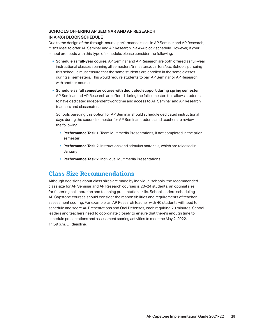### <span id="page-24-0"></span>**SCHOOLS OFFERING AP SEMINAR AND AP RESEARCH IN A 4X4 BLOCK SCHEDULE**

Due to the design of the through-course performance tasks in AP Seminar and AP Research, it isn't ideal to offer AP Seminar and AP Research in a 4x4 block schedule. However, if your school proceeds with this type of schedule, please consider the following:

- § **Schedule as full-year course.** AP Seminar and AP Research are both offered as full-year instructional classes spanning all semesters/trimesters/quarters/etc. Schools pursuing this schedule must ensure that the same students are enrolled in the same classes during all semesters. This would require students to pair AP Seminar or AP Research with another course.
- § **Schedule as fall semester course with dedicated support during spring semester.**  AP Seminar and AP Research are offered during the fall semester; this allows students to have dedicated independent work time and access to AP Seminar and AP Research teachers and classmates.

Schools pursuing this option for AP Seminar should schedule dedicated instructional days during the second semester for AP Seminar students and teachers to review the following:

- § **Performance Task 1.** Team Multimedia Presentations, if not completed in the prior semester
- **Performance Task 2.** Instructions and stimulus materials, which are released in **January**
- § **Performance Task 2.** Individual Multimedia Presentations

### **Class Size Recommendations**

Although decisions about class sizes are made by individual schools, the recommended class size for AP Seminar and AP Research courses is 20–24 students, an optimal size for fostering collaboration and teaching presentation skills. School leaders scheduling AP Capstone courses should consider the responsibilities and requirements of teacher assessment scoring. For example, an AP Research teacher with 40 students will need to schedule and score 40 Presentations and Oral Defenses, each requiring 20 minutes. School leaders and teachers need to coordinate closely to ensure that there's enough time to schedule presentations and assessment scoring activities to meet the May 2, 2022, 11:59 p.m. ET deadline.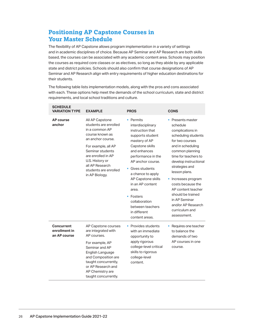### <span id="page-25-0"></span>**Positioning AP Capstone Courses in Your Master Schedule**

The flexibility of AP Capstone allows program implementation in a variety of settings and in academic disciplines of choice. Because AP Seminar and AP Research are both skills based, the courses can be associated with any academic content area. Schools may position the courses as required core classes or as electives, so long as they abide by any applicable state and district policies. Schools should also confirm that course designations of AP Seminar and AP Research align with entry requirements of higher education destinations for their students.

The following table lists implementation models, along with the pros and cons associated with each. These options help meet the demands of the school curriculum, state and district requirements, and local school traditions and culture.

| <b>SCHEDULE</b><br><b>VARIATION TYPE</b>           | <b>EXAMPLE</b>                                                                                                                                                                                                                                       | <b>PROS</b>                                                                                                                                                                                                                                                                                                                                                                        | <b>CONS</b>                                                                                                                                                                                                                                                                                                                                                                            |
|----------------------------------------------------|------------------------------------------------------------------------------------------------------------------------------------------------------------------------------------------------------------------------------------------------------|------------------------------------------------------------------------------------------------------------------------------------------------------------------------------------------------------------------------------------------------------------------------------------------------------------------------------------------------------------------------------------|----------------------------------------------------------------------------------------------------------------------------------------------------------------------------------------------------------------------------------------------------------------------------------------------------------------------------------------------------------------------------------------|
| <b>AP</b> course<br>anchor                         | All AP Capstone<br>students are enrolled<br>in a common AP<br>course known as<br>an anchor course.<br>For example, all AP<br>Seminar students<br>are enrolled in AP<br>U.S. History or<br>all AP Research<br>students are enrolled<br>in AP Biology. | • Permits<br>interdisciplinary<br>instruction that<br>supports student<br>mastery of AP<br>Capstone skills<br>and enhances<br>performance in the<br>AP anchor course.<br>Gives students<br>$\blacksquare$<br>a chance to apply<br>AP Capstone skills<br>in an AP content<br>area.<br>$\blacksquare$ Fosters<br>collaboration<br>between teachers<br>in different<br>content areas. | • Presents master<br>schedule<br>complications in<br>scheduling students<br>for two courses<br>and in scheduling<br>common planning<br>time for teachers to<br>develop instructional<br>strategies and<br>lesson plans.<br>• Increases program<br>costs because the<br>AP content teacher<br>should be trained<br>in AP Seminar<br>and/or AP Research<br>curriculum and<br>assessment. |
| <b>Concurrent</b><br>enrollment in<br>an AP course | AP Capstone courses<br>are integrated with<br>AP courses.<br>For example, AP<br>Seminar and AP<br>English Language<br>and Composition are<br>taught concurrently,<br>or AP Research and<br>AP Chemistry are<br>taught concurrently.                  | • Provides students<br>with an immediate<br>opportunity to<br>apply rigorous<br>college-level critical<br>skills to rigorous<br>college-level<br>content.                                                                                                                                                                                                                          | Requires one teacher<br>٥<br>to balance the<br>demands of two<br>AP courses in one<br>course.                                                                                                                                                                                                                                                                                          |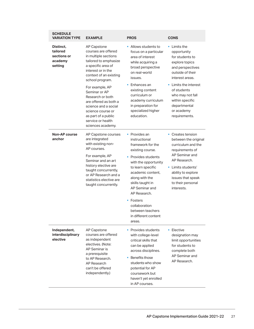| <b>SCHEDULE</b><br><b>VARIATION TYPE</b>                   | <b>EXAMPLE</b>                                                                                                                                                                                                                                                                                                                                                              | <b>PROS</b>                                                                                                                                                                                                                                                                                                                               | <b>CONS</b>                                                                                                                                                                                                                                                            |
|------------------------------------------------------------|-----------------------------------------------------------------------------------------------------------------------------------------------------------------------------------------------------------------------------------------------------------------------------------------------------------------------------------------------------------------------------|-------------------------------------------------------------------------------------------------------------------------------------------------------------------------------------------------------------------------------------------------------------------------------------------------------------------------------------------|------------------------------------------------------------------------------------------------------------------------------------------------------------------------------------------------------------------------------------------------------------------------|
| Distinct,<br>tailored<br>sections or<br>academy<br>setting | AP Capstone<br>courses are offered<br>in multiple sections<br>tailored to emphasize<br>a specific area of<br>interest or in the<br>context of an existing<br>school program.<br>For example, AP<br>Seminar or AP<br>Research or both<br>are offered as both a<br>science and a social<br>science course or<br>as part of a public<br>service or health<br>sciences academy. | • Allows students to<br>focus on a particular<br>area of interest<br>while acquiring a<br>broad perspective<br>on real-world<br>issues.<br>Enhances an<br>existing content<br>curriculum or<br>academy curriculum<br>in preparation for<br>specialized higher<br>education.                                                               | $\blacksquare$ Limits the<br>opportunity<br>for students to<br>explore topics<br>and perspectives<br>outside of their<br>interest areas.<br>• Limits the interest<br>of students<br>who may not fall<br>within specific<br>departmental<br>or academy<br>requirements. |
| Non-AP course<br>anchor                                    | AP Capstone courses<br>are integrated<br>with existing non-<br>AP courses.<br>For example, AP<br>Seminar and an art<br>history elective are<br>taught concurrently,<br>or AP Research and a<br>statistics elective are<br>taught concurrently.                                                                                                                              | $\blacksquare$ Provides an<br>instructional<br>framework for the<br>existing course.<br>• Provides students<br>with the opportunity<br>to learn specific<br>academic content,<br>along with the<br>skills taught in<br>AP Seminar and<br>AP Research.<br>• Fosters<br>collaboration<br>between teachers<br>in different content<br>areas. | • Creates tension<br>between the original<br>curriculum and the<br>requirements of<br>AP Seminar and<br>AP Research.<br>• Limits students'<br>ability to explore<br>issues that speak<br>to their personal<br>interests.                                               |
| Independent,<br>interdisciplinary<br>elective              | <b>AP Capstone</b><br>courses are offered<br>as independent<br>electives. (Note:<br><b>AP Seminar is</b><br>a prerequisite<br>to AP Research.<br>AP Research<br>can't be offered<br>independently.)                                                                                                                                                                         | Provides students<br>with college-level<br>critical skills that<br>can be applied<br>across disciplines.<br>Benefits those<br>students who show<br>potential for AP<br>coursework but<br>haven't yet enrolled<br>in AP courses.                                                                                                           | <b>Elective</b><br>designation may<br>limit opportunities<br>for students to<br>complete both<br>AP Seminar and<br>AP Research.                                                                                                                                        |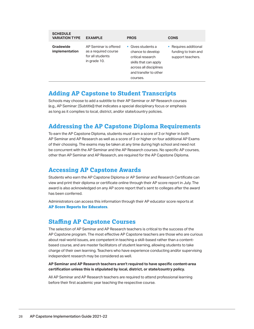<span id="page-27-0"></span>

| <b>SCHEDULE</b><br><b>VARIATION TYPE</b> | <b>EXAMPLE</b>                                                                    | <b>PROS</b>                                                                                                                                                       | <b>CONS</b>                                                        |
|------------------------------------------|-----------------------------------------------------------------------------------|-------------------------------------------------------------------------------------------------------------------------------------------------------------------|--------------------------------------------------------------------|
| Gradewide<br>implementation              | AP Seminar is offered<br>as a required course<br>for all students<br>in grade 10. | $\blacksquare$ Gives students a<br>chance to develop<br>critical research<br>skills that can apply<br>across all disciplines<br>and transfer to other<br>courses. | • Requires additional<br>funding to train and<br>support teachers. |

### **Adding AP Capstone to Student Transcripts**

Schools may choose to add a subtitle to their AP Seminar or AP Research courses (e.g., AP Seminar: [Subtitle]) that indicates a special disciplinary focus or emphasis as long as it complies to local, district, and/or state/country policies.

### **Addressing the AP Capstone Diploma Requirements**

To earn the AP Capstone Diploma, students must earn a score of 3 or higher in both AP Seminar and AP Research as well as a score of 3 or higher on four additional AP Exams of their choosing. The exams may be taken at any time during high school and need not be concurrent with the AP Seminar and the AP Research courses. No specific AP courses, other than AP Seminar and AP Research, are required for the AP Capstone Diploma.

### **Accessing AP Capstone Awards**

Students who earn the AP Capstone Diploma or AP Seminar and Research Certificate can view and print their diploma or certificate online through their AP score report in July. The award is also acknowledged on any AP score report that's sent to colleges after the award has been conferred.

Administrators can access this information through their AP educator score reports at **[AP Score Reports for Educators](http://scores.collegeboard.org)**.

### **Staffing AP Capstone Courses**

The selection of AP Seminar and AP Research teachers is critical to the success of the AP Capstone program. The most effective AP Capstone teachers are those who are curious about real-world issues, are competent in teaching a skill-based rather than a contentbased course, and are master facilitators of student learning, allowing students to take charge of their own learning. Teachers who have experience conducting and/or supervising independent research may be considered as well.

**AP Seminar and AP Research teachers aren't required to have specific content-area certification unless this is stipulated by local, district, or state/country policy.**

All AP Seminar and AP Research teachers are required to attend professional learning before their first academic year teaching the respective course.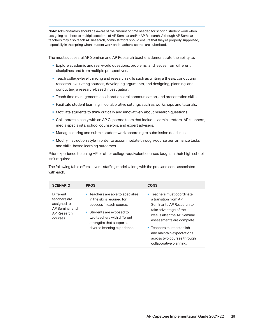**Note:** Administrators should be aware of the amount of time needed for scoring student work when assigning teachers to multiple sections of AP Seminar and/or AP Research. Although AP Seminar teachers may also teach AP Research, administrators should ensure that they're properly supported, especially in the spring when student work and teachers' scores are submitted.

 The most successful AP Seminar and AP Research teachers demonstrate the ability to:

- **Explore academic and real-world questions, problems, and issues from different** disciplines and from multiple perspectives.
- $\;\overline{\;\;}$  Teach college-level thinking and research skills such as writing a thesis, conducting research, evaluating sources, developing arguments, and designing, planning, and conducting a research-based investigation.
- § Teach time management, collaboration, oral communication, and presentation skills.
- **Facilitate student learning in collaborative settings such as workshops and tutorials.**
- § Motivate students to think critically and innovatively about research questions.
- § Collaborate closely with an AP Capstone team that includes administrators, AP teachers, media specialists, school counselors, and expert advisers.
- § Manage scoring and submit student work according to submission deadlines.
- § Modify instruction style in order to accommodate through-course performance tasks and skills-based learning outcomes.

Prior experience teaching AP or other college-equivalent courses taught in their high school isn't required.

 The following table offers several staffing models along with the pros and cons associated with each.

| <b>SCENARIO</b>                                                                       | <b>PROS</b>                                                                                                                                                                                                        | <b>CONS</b>                                                                                                                                                                                                                                                                            |
|---------------------------------------------------------------------------------------|--------------------------------------------------------------------------------------------------------------------------------------------------------------------------------------------------------------------|----------------------------------------------------------------------------------------------------------------------------------------------------------------------------------------------------------------------------------------------------------------------------------------|
| Different<br>teachers are<br>assigned to<br>AP Seminar and<br>AP Research<br>courses. | • Teachers are able to specialize<br>in the skills required for<br>success in each course.<br>• Students are exposed to<br>two teachers with different<br>strengths that support a<br>diverse learning experience. | • Teachers must coordinate<br>a transition from AP<br>Seminar to AP Research to<br>take advantage of the<br>weeks after the AP Seminar<br>assessments are complete.<br>• Teachers must establish<br>and maintain expectations<br>across two courses through<br>collaborative planning. |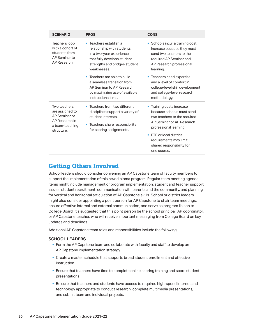<span id="page-29-0"></span>

| <b>SCENARIO</b>                                                                                     | <b>PROS</b>                                                                                                                                                        | <b>CONS</b>                                                                                                                                                                                                                                                       |
|-----------------------------------------------------------------------------------------------------|--------------------------------------------------------------------------------------------------------------------------------------------------------------------|-------------------------------------------------------------------------------------------------------------------------------------------------------------------------------------------------------------------------------------------------------------------|
| Teachers loop<br>with a cohort of<br>students from<br>AP Seminar to<br>AP Research.                 | Teachers establish a<br>×<br>relationship with students<br>in a two-year experience<br>that fully develops student<br>strengths and bridges student<br>weaknesses. | • Schools incur a training cost<br>increase because they must<br>send two teachers to the<br>required AP Seminar and<br>AP Research professional<br>learning.                                                                                                     |
|                                                                                                     | Teachers are able to build<br>×<br>a seamless transition from<br>AP Seminar to AP Research<br>by maximizing use of available<br>instructional time.                | • Teachers need expertise<br>and a level of comfort in<br>college-level skill development<br>and college-level research<br>methodology.                                                                                                                           |
| Two teachers<br>are assigned to<br>AP Seminar or<br>AP Research in<br>a team-teaching<br>structure. | Teachers from two different<br>×<br>disciplines support a variety of<br>student interests.<br>• Teachers share responsibility<br>for scoring assignments.          | Training costs increase<br>ш<br>because schools must send<br>two teachers to the required<br>AP Seminar or AP Research<br>professional learning.<br>FTE or local district<br>$\blacksquare$<br>requirements may limit<br>shared responsibility for<br>one course. |

### **Getting Others Involved**

School leaders should consider convening an AP Capstone team of faculty members to support the implementation of this new diploma program. Regular team meeting agenda items might include management of program implementation, student and teacher support issues, student recruitment, communication with parents and the community, and planning for vertical and horizontal articulation of AP Capstone skills. School or district leaders might also consider appointing a point person for AP Capstone to chair team meetings, ensure effective internal and external communication, and serve as program liaison to College Board. It's suggested that this point person be the school principal, AP coordinator, or AP Capstone teacher, who will receive important messaging from College Board on key updates and deadlines.

Additional AP Capstone team roles and responsibilities include the following:

### **SCHOOL LEADERS**

- **Form the AP Capstone team and collaborate with faculty and staff to develop an** AP Capstone implementation strategy.
- § Create a master schedule that supports broad student enrollment and effective instruction.
- **Ensure that teachers have time to complete online scoring training and score student** presentations.
- and submit team and individual projects.§ Be sure that teachers and students have access to required high-speed internet and technology appropriate to conduct research, complete multimedia presentations,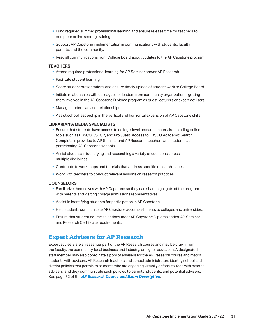- <span id="page-30-0"></span>§ Fund required summer professional learning and ensure release time for teachers to complete online scoring training.
- parents, and the community. § Support AP Capstone implementation in communications with students, faculty,
- § Read all communications from College Board about updates to the AP Capstone program.

#### **TEACHERS**

- Attend required professional learning for AP Seminar and/or AP Research.
- **Facilitate student learning.**
- § Score student presentations and ensure timely upload of student work to College Board.
- them involved in the AP Capstone Diploma program as guest lecturers or expert advisers. • Initiate relationships with colleagues or leaders from community organizations, getting
- § Manage student–adviser relationships.
- **•** Assist school leadership in the vertical and horizontal expansion of AP Capstone skills.

#### **LIBRARIANS/MEDIA SPECIALISTS**

- tools such as EBSCO, JSTOR, and ProQuest. Access to EBSCO Academic Search **Ensure that students have access to college-level research materials, including online** Complete is provided to AP Seminar and AP Research teachers and students at participating AP Capstone schools.
- § Assist students in identifying and researching a variety of questions across multiple disciplines.
- § Contribute to workshops and tutorials that address specific research issues.
- § Work with teachers to conduct relevant lessons on research practices.

#### **COUNSELORS**

- Familiarize themselves with AP Capstone so they can share highlights of the program with parents and visiting college admissions representatives.
- § Assist in identifying students for participation in AP Capstone.
- § Help students communicate AP Capstone accomplishments to colleges and universities.
- **Ensure that student course selections meet AP Capstone Diploma and/or AP Seminar** and Research Certificate requirements.

### **Expert Advisers for AP Research**

Expert advisers are an essential part of the AP Research course and may be drawn from the faculty, the community, local business and industry, or higher education. A designated staff member may also coordinate a pool of advisers for the AP Research course and match students with advisers. AP Research teachers and school administrators identify school and district policies that pertain to students who are engaging virtually or face-to-face with external advisers, and they communicate such policies to parents, students, and potential advisers. See page 52 of the *[AP Research Course and Exam Description](https://apcentral.collegeboard.org/pdf/ap-research-course-and-exam-description.pdf)*.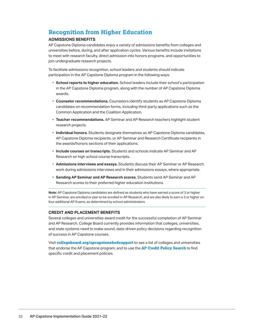### <span id="page-31-0"></span>**Recognition from Higher Education**

### **ADMISSIONS BENEFITS**

AP Capstone Diploma candidates enjoy a variety of admissions benefits from colleges and universities before, during, and after application cycles. Various benefits include invitations to meet with research faculty, direct admission into honors programs, and opportunities to join undergraduate research projects.

To facilitate admissions recognition, school leaders and students should indicate participation in the AP Capstone Diploma program in the following ways:

- § **School reports to higher education.** School leaders include their school's participation in the AP Capstone Diploma program, along with the number of AP Capstone Diploma awards.
- § **Counselor recommendations.** Counselors identify students as AP Capstone Diploma candidates on recommendation forms, including third-party applications such as the Common Application and the Coalition Application.
- § **Teacher recommendations.** AP Seminar and AP Research teachers highlight student research projects.
- § **Individual honors.** Students designate themselves as AP Capstone Diploma candidates, AP Capstone Diploma recipients, or AP Seminar and Research Certificate recipients in the awards/honors sections of their applications.
- § **Include courses on transcripts.** Students and schools indicate AP Seminar and AP Research on high school course transcripts.
- § **Admissions interviews and essays.** Students discuss their AP Seminar or AP Research work during admissions interviews and in their admissions essays, where appropriate.
- § **Sending AP Seminar and AP Research scores.** Students send AP Seminar and AP Research scores to their preferred higher education institutions.

**Note:** AP Capstone Diploma candidates are defined as students who have earned a score of 3 or higher in AP Seminar, are enrolled or plan to be enrolled in AP Research, and are also likely to earn a 3 or higher on four additional AP Exams, as determined by school administrators.

### **CREDIT AND PLACEMENT BENEFITS**

Several colleges and universities award credit for the successful completion of AP Seminar and AP Research. College Board currently provides information that colleges, universities, and state systems need to make sound, data-driven policy decisions regarding recognition of success in AP Capstone courses.

Visit **[collegeboard.org/apcapstonehedsupport](http://collegeboard.org/apcapstonehedsupport)** to see a list of colleges and universities that endorse the AP Capstone program, and to use the **[AP Credit Policy Search](https://apstudents.collegeboard.org/getting-credit-placement/search-policies)** to find specific credit and placement policies.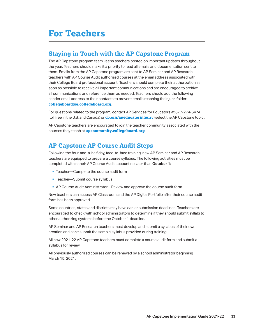# <span id="page-32-0"></span>**For Teachers**

### **Staying in Touch with the AP Capstone Program**

 The AP Capstone program team keeps teachers posted on important updates throughout the year. Teachers should make it a priority to read all emails and documentation sent to their College Board professional account. Teachers should complete their authorization as all communications and reference them as needed. Teachers should add the following them. Emails from the AP Capstone program are sent to AP Seminar and AP Research teachers with AP Course Audit authorized courses at the email address associated with soon as possible to receive all important communications and are encouraged to archive sender email address to their contacts to prevent emails reaching their junk folder: **[collegeboard@](mailto:mailto:collegeboard%40e.collegeboard.org?subject=)e.collegeboard.org**.

 (toll free in the U.S. and Canada) or **[cb.org/apeducatorinquiry](http://cb.org/apeducatorinquiry)** (select the AP Capstone topic). For questions related to the program, contact AP Services for Educators at 877-274-6474

AP Capstone teachers are encouraged to join the teacher community associated with the courses they teach at **[apcommunity.collegeboard.org](https://apcommunity.collegeboard.org/)**.

### **AP Capstone AP Course Audit Steps**

 teachers are equipped to prepare a course syllabus. The following activities must be completed within their AP Course Audit account no later than **October 1**: Following the four-and-a-half day, face-to-face training, new AP Seminar and AP Research

- § Teacher—Complete the course audit form
- § Teacher—Submit course syllabus
- § AP Course Audit Administrator—Review and approve the course audit form

New teachers can access AP Classroom and the AP Digital Portfolio after their course audit form has been approved.

 Some countries, states and districts may have earlier submission deadlines. Teachers are encouraged to check with school administrators to determine if they should submit syllabi to other authorizing systems before the October 1 deadline.

AP Seminar and AP Research teachers must develop and submit a syllabus of their own creation and can't submit the sample syllabus provided during training.

All new 2021-22 AP Capstone teachers must complete a course audit form and submit a syllabus for review.

 March 15, 2021.All previously authorized courses can be renewed by a school administrator beginning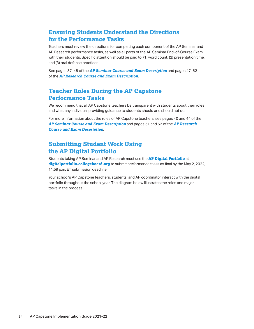### <span id="page-33-0"></span>**Ensuring Students Understand the Directions for the Performance Tasks**

Ieachers must review the directions for completing each component of the AP Seminar and AP Research performance tasks, as well as all parts of the AP Seminar End-of-Course Exam, with their students. Specific attention should be paid to: (1) word count, (2) presentation time, and (3) oral defense practices.

See pages 37–45 of the *[AP Seminar Course and Exam Description](https://apcentral.collegeboard.org/pdf/ap-seminar-course-and-exam-description.pdf)* and pages 47–52 of the *[AP Research Course and Exam Description](https://apcentral.collegeboard.org/pdf/ap-research-course-and-exam-description.pdf)*.

### **Teacher Roles During the AP Capstone Performance Tasks**

We recommend that all AP Capstone teachers be transparent with students about their roles and what any individual providing guidance to students should and should not do.

For more information about the roles of AP Capstone teachers, see pages 40 and 44 of the *[AP Seminar Course and Exam Description](https://apcentral.collegeboard.org/pdf/ap-seminar-course-and-exam-description.pdf)* and pages 51 and 52 of the *[AP Research](https://apcentral.collegeboard.org/pdf/ap-research-course-and-exam-description.pdf)  [Course and Exam Description](https://apcentral.collegeboard.org/pdf/ap-research-course-and-exam-description.pdf)*.

### **Submitting Student Work Using the AP Digital Portfolio**

 **[digitalportfolio.collegeboard.org](https://digitalportfolio.collegeboard.org)** to submit performance tasks as final by the May 2, 2022, 11:59 p.m. ET submission deadline. Students taking AP Seminar and AP Research must use the **[AP Digital Portfolio](https://digitalportfolio.collegeboard.org)** at

 portfolio throughout the school year. The diagram below illustrates the roles and major Your school's AP Capstone teachers, students, and AP coordinator interact with the digital tasks in the process.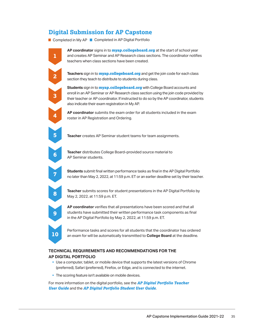### **Digital Submission for AP Capstone**

 $Completed$  in My  $AP \quad \Box$   $Completed$  in  $AP$  Digital Portfolio



 and creates AP Seminar and AP Research class sections. The coordinator notifies **AP coordinator** signs in to **[myap.collegeboard.org](http://myap.collegeboard.org)** at the start of school year teachers when class sections have been created.



**2 Teachers** sign in to **[myap.collegeboard.org](http://myap.collegeboard.org)** and get the join code for each class section they teach to distribute to students during class.

 also indicate their exam registration in My AP. **Students** sign in to **[myap.collegeboard.org](http://myap.collegeboard.org)** with College Board accounts and enroll in an AP Seminar or AP Research class section using the join code provided by their teacher or AP coordinator. If instructed to do so by the AP coordinator, students

**4 AP coordinator** submits the exam order for all students included in the exam roster in AP Registration and Ordering.



**4** 

**5** 

**3** 

**3** 

**Teacher** creates AP Seminar student teams for team assignments.



**Teacher** distributes College Board–provided source material to AP Seminar students.

**9** 

 no later than May 2, 2022, at 11:59 p.m. ET or an earlier deadline set by their teacher. **7 Students** submit final written performance tasks as final in the AP Digital Portfolio

 May 2, 2022, at 11:59 p.m. ET. **Teacher** submits scores for student presentations in the AP Digital Portfolio by



**10** 

in the AP Digital Portfolio by May 2, 2022, at 11:59 p.m. ET. **AP coordinator** verifies that all presentations have been scored and that all students have submitted their written performance task components as final

Performance tasks and scores for all students that the coordinator has ordered an exam for will be automatically transmitted to **College Board** at the deadline.

### **TECHNICAL REQUIREMENTS AND RECOMMENDATIONS FOR THE AP DIGITAL PORTFOLIO**

- § Use a computer, tablet, or mobile device that supports the latest versions of Chrome (preferred), Safari (preferred), Firefox, or Edge, and is connected to the internet.
- **The scoring feature isn't available on mobile devices.**

 For more information on the digital portfolio, see the *[AP Digital Portfolio Teacher User Guide](http://media.collegeboard.com/digitalServices/pdf/ap/ap-capstone/ap-capstone-digital-portfolio-teacher-user-guide.pdf)* and the *AP Digital Portfolio Student User Guide*.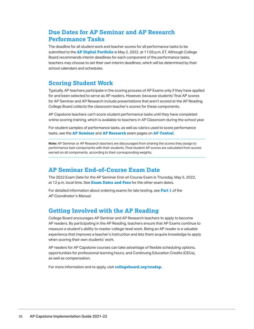### <span id="page-35-0"></span>**Due Dates for AP Seminar and AP Research Performance Tasks**

 The deadline for all student work and teacher scores for all performance tasks to be submitted to the **[AP Digital Portfolio](https://digitalportfolio.collegeboard.org/)** is May 2, 2022, at 11:59 p.m. ET. Although College Board recommends interim deadlines for each component of the performance tasks, teachers may choose to set their own interim deadlines, which will be determined by their school calendars and schedules.

### **Scoring Student Work**

 Typically, AP teachers participate in the scoring process of AP Exams only if they have applied for and been selected to serve as AP readers. However, because students' final AP scores for AP Seminar and AP Research include presentations that aren't scored at the AP Reading, College Board collects the classroom teacher's scores for these components.

AP Capstone teachers can't score student performance tasks until they have completed online scoring training, which is available to teachers in AP Classroom during the school year.

For student samples of performance tasks, as well as rubrics used to score performance tasks, see the **[AP Seminar](https://apcentral.collegeboard.org/courses/ap-seminar/exam)** and **[AP Research](https://apcentral.collegeboard.org/courses/ap-research/exam)** exam pages on **[AP Central](https://apcentral.collegeboard.org)**.

**Note:** AP Seminar or AP Research teachers are discouraged from sharing the scores they assign to performance task components with their students. Final student AP scores are calculated from scores earned on all components, according to their corresponding weights.

### **AP Seminar End-of-Course Exam Date**

 The 2022 Exam Date for the AP Seminar End-of-Course Exam is Thursday, May 5, 2022, at 12 p.m. local time. See **[Exam Dates and Fees](https://apcentral.collegeboard.org/courses/exam-dates-and-fees)** for the other exam dates.

For detailed information about ordering exams for late testing, see **[Part 1](http://collegeboard.org/apcoordinatorsmanual-part1)** of the *AP Coordinator's Manual*.

### **Getting Involved with the AP Reading**

 measure a student's ability to master college-level work. Being an AP reader is a valuable College Board encourages AP Seminar and AP Research teachers to apply to become AP readers. By participating in the AP Reading, teachers ensure that AP Exams continue to experience that improves a teacher's instruction and lets them acquire knowledge to apply when scoring their own students' work.

 opportunities for professional learning hours, and Continuing Education Credits (CEUs), AP readers for AP Capstone courses can take advantage of flexible scheduling options, as well as compensation.

For more information and to apply, visit **[collegeboard.org/readap.](http://collegeboard.org/readap)**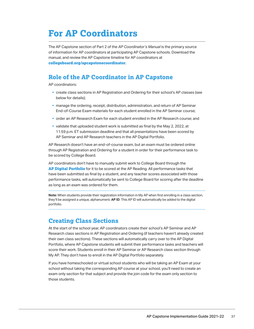# <span id="page-36-0"></span>**For AP Coordinators**

 The AP Capstone section of Part 2 of the *AP Coordinator's Manual* is the primary source of information for AP coordinators at participating AP Capstone schools. Download the manual, and review the AP Capstone timeline for AP coordinators at **[collegeboard.org/apcapstonecoordinator](https://collegeboard.org/apcapstonecoordinator)**.

### **Role of the AP Coordinator in AP Capstone**

AP coordinators:

- create class sections in AP Registration and Ordering for their school's AP classes (see below for details);
- **manage the ordering, receipt, distribution, administration, and return of AP Seminar** End-of-Course Exam materials for each student enrolled in the AP Seminar course;
- § order an AP Research Exam for each student enrolled in the AP Research course; and
- § validate that uploaded student work is submitted as final by the May 2, 2022, at 11:59 p.m. ET submission deadline and that all presentations have been scored by AP Seminar and AP Research teachers in the AP Digital Portfolio.

 through AP Registration and Ordering for a student in order for their performance task to be scored by College Board. AP Research doesn't have an end-of-course exam, but an exam must be ordered online

 have been submitted as final by a student, and any teacher scores associated with those AP coordinators don't have to manually submit work to College Board through the **[AP Digital Portfolio](https://digitalportfolio.collegeboard.org/)** for it to be scored at the AP Reading. All performance tasks that performance tasks, will automatically be sent to College Board for scoring after the deadline as long as an exam was ordered for them.

 **Note:** When students provide their registration information in My AP when first enrolling in a class section, they'll be assigned a unique, alphanumeric **AP ID**. This AP ID will automatically be added to the digital portfolio.

### **Creating Class Sections**

At the start of the school year, AP coordinators create their school's AP Seminar and AP Research class sections in AP Registration and Ordering (if teachers haven't already created their own class sections). These sections will automatically carry over to the AP Digital Portfolio, where AP Capstone students will submit their performance tasks and teachers will score their work. Students enroll in their AP Seminar or AP Research class section through My AP. They don't have to enroll in the AP Digital Portfolio separately.

If you have homeschooled or virtual school students who will be taking an AP Exam at your school without taking the corresponding AP course at your school, you'll need to create an exam only section for that subject and provide the join code for the exam only section to those students.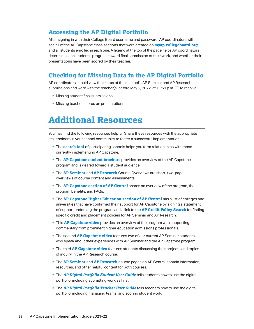### <span id="page-37-0"></span>**Accessing the AP Digital Portfolio**

 and all students enrolled in each one. A legend at the top of the page helps AP coordinators After signing in with their College Board username and password, AP coordinators will see all of the AP Capstone class sections that were created on **[myap.collegeboard.org](http://myap.collegeboard.org)**  determine each student's progress toward final submission of their work, and whether their presentations have been scored by their teacher.

### **Checking for Missing Data in the AP Digital Portfolio**

 submissions and work with the teacher(s) before May 2, 2022, at 11:59 p.m. ET to resolve: AP coordinators should view the status of their school's AP Seminar and AP Research

- § Missing student final submissions
- § Missing teacher scores on presentations

## **Additional Resources**

You may find the following resources helpful. Share these resources with the appropriate stakeholders in your school community to foster a successful implementation.

- § The **[search tool](https://collegeboard.force.com/ParticipatingAPCapstoneSchools)** of participating schools helps you form relationships with those currently implementing AP Capstone.
- **The [AP Capstone student brochure](https://secure-media.collegeboard.org/digitalServices/pdf/ap/ap-capstone/ap-capstone-student-brochure.pdf)** provides an overview of the AP Capstone program and is geared toward a student audience.
- § The **[AP Seminar](https://apcentral.collegeboard.org/pdf/ap-seminar-course-overview.pdf)** and **[AP Research](https://apcentral.collegeboard.org/pdf/ap-research-course-overview.pdf)** Course Overviews are short, two-page overviews of course content and assessments.
- program benefits, and FAQs. **• The [AP Capstone section of AP Central](https://apcentral.collegeboard.org/courses/ap-capstone)** shares an overview of the program, the
- § The **[AP Capstone Higher Education section of AP Central](https://advancesinap.collegeboard.org/ap-capstone/higher-education-support)** has a list of colleges and universities that have confirmed their support for AP Capstone by signing a statement of support endorsing the program and a link to the **[AP Credit Policy Search](https://apstudents.collegeboard.org/getting-credit-placement/search-policies)** for finding specific credit and placement policies for AP Seminar and AP Research.
- § This **[AP Capstone video](https://youtu.be/gNzjskIBLIM)** provides an overview of the program with supporting commentary from prominent higher education admissions professionals.
- § The second **[AP Capstone video](https://youtu.be/0aoEXEIQKTM)** features two of our current AP Seminar students, who speak about their experiences with AP Seminar and the AP Capstone program.
- § The third **[AP Capstone video](https://www.youtube.com/watch?v=yPsQvn6NaLE
)** features students discussing their projects and topics of inquiry in the AP Research course.
- § The **[AP Seminar](https://apcentral.collegeboard.org/courses/ap-seminar)** and **[AP Research](https://apcentral.collegeboard.org/courses/ap-research)** course pages on AP Central contain information, resources, and other helpful content for both courses.
- **The [AP Digital Portfolio Student User Guide](http://media.collegeboard.com/digitalServices/pdf/ap/ap-capstone/ap-capstone-digital-portfolio-student-user-guide.pdf)** tells students how to use the digital portfolio, including submitting work as final.
- **The [AP Digital Portfolio Teacher User Guide](http://media.collegeboard.com/digitalServices/pdf/ap/ap-capstone/ap-capstone-digital-portfolio-teacher-user-guide.pdf)** tells teachers how to use the digital portfolio, including managing teams, and scoring student work.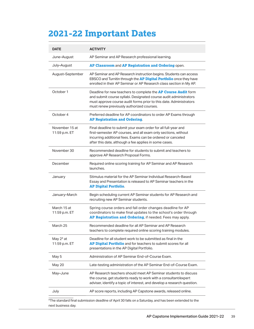# **2021-22 Important Dates**

| <b>DATE</b>                     | <b>ACTIVITY</b>                                                                                                                                                                                                                                               |  |
|---------------------------------|---------------------------------------------------------------------------------------------------------------------------------------------------------------------------------------------------------------------------------------------------------------|--|
| June-August                     | AP Seminar and AP Research professional learning.                                                                                                                                                                                                             |  |
| July-August                     | AP Classroom and AP Registration and Ordering open.                                                                                                                                                                                                           |  |
| August-September                | AP Seminar and AP Research instruction begins. Students can access<br>EBSCO and Turnitin through the AP Digital Portfolio once they have<br>enrolled in their AP Seminar or AP Research class section in My AP.                                               |  |
| October 1                       | Deadline for new teachers to complete the <b>AP Course Audit</b> form<br>and submit course syllabi. Designated course audit administrators<br>must approve course audit forms prior to this date. Administrators<br>must renew previously authorized courses. |  |
| October 4                       | Preferred deadline for AP coordinators to order AP Exams through<br><b>AP Registration and Ordering.</b>                                                                                                                                                      |  |
| November 15 at<br>11:59 p.m. ET | Final deadline to submit your exam order for all full-year and<br>first-semester AP courses, and all exam only sections, without<br>incurring additional fees. Exams can be ordered or canceled<br>after this date, although a fee applies in some cases.     |  |
| November 30                     | Recommended deadline for students to submit and teachers to<br>approve AP Research Proposal Forms.                                                                                                                                                            |  |
| December                        | Required online scoring training for AP Seminar and AP Research<br>launches.                                                                                                                                                                                  |  |
| January                         | Stimulus material for the AP Seminar Individual Research-Based<br>Essay and Presentation is released to AP Seminar teachers in the<br><b>AP Digital Portfolio.</b>                                                                                            |  |
| January-March                   | Begin scheduling current AP Seminar students for AP Research and<br>recruiting new AP Seminar students.                                                                                                                                                       |  |
| March 15 at<br>11:59 p.m. ET    | Spring course orders and fall order changes deadline for AP<br>coordinators to make final updates to the school's order through<br>AP Registration and Ordering, if needed. Fees may apply.                                                                   |  |
| March 25                        | Recommended deadline for all AP Seminar and AP Research<br>teachers to complete required online scoring training modules.                                                                                                                                     |  |
| May 2* at<br>11:59 p.m. ET      | Deadline for all student work to be submitted as final in the<br>AP Digital Portfolio and for teachers to submit scores for all<br>presentations in the AP Digital Portfolio.                                                                                 |  |
| May 5                           | Administration of AP Seminar End-of-Course Exam.                                                                                                                                                                                                              |  |
| May 20                          | Late-testing administration of the AP Seminar End-of-Course Exam.                                                                                                                                                                                             |  |
| May-June                        | AP Research teachers should meet AP Seminar students to discuss<br>the course, get students ready to work with a consultant/expert<br>adviser, identify a topic of interest, and develop a research question.                                                 |  |
| July                            | AP score reports, including AP Capstone awards, released online.                                                                                                                                                                                              |  |

 \*The standard final submission deadline of April 30 falls on a Saturday, and has been extended to the next business day.